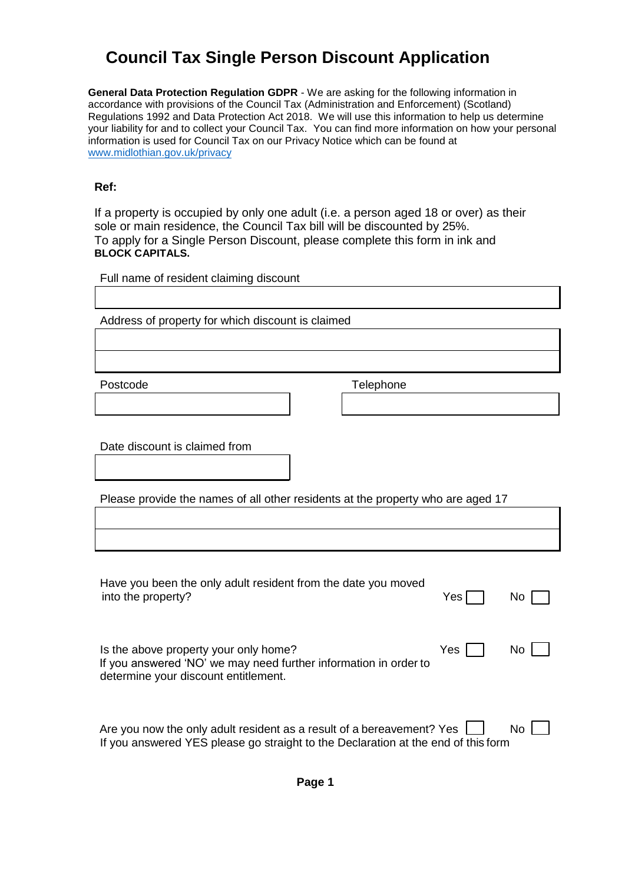## **Council Tax Single Person Discount Application**

**General Data Protection Regulation GDPR** - We are asking for the following information in accordance with provisions of the Council Tax (Administration and Enforcement) (Scotland) Regulations 1992 and Data Protection Act 2018. We will use this information to help us determine your liability for and to collect your Council Tax. You can find more information on how your personal information is used for Council Tax on our Privacy Notice which can be found at [www.midlothian.gov.uk/privacy](http://www.midlothian.gov.uk/privacy)

## **Ref:**

If a property is occupied by only one adult (i.e. a person aged 18 or over) as their sole or main residence, the Council Tax bill will be discounted by 25%. To apply for a Single Person Discount, please complete this form in ink and **BLOCK CAPITALS.**

Full name of resident claiming discount

Address of property for which discount is claimed

Postcode Telephone

Date discount is claimed from

Please provide the names of all other residents at the property who are aged 17

| Have you been the only adult resident from the date you moved<br>into the property?                                                                                  | Yes | No. |
|----------------------------------------------------------------------------------------------------------------------------------------------------------------------|-----|-----|
| Is the above property your only home?<br>If you answered 'NO' we may need further information in order to<br>determine your discount entitlement.                    | Yes | No. |
| Are you now the only adult resident as a result of a bereavement? Yes $\lfloor$<br>If you answered YES please go straight to the Declaration at the end of this form |     | No. |